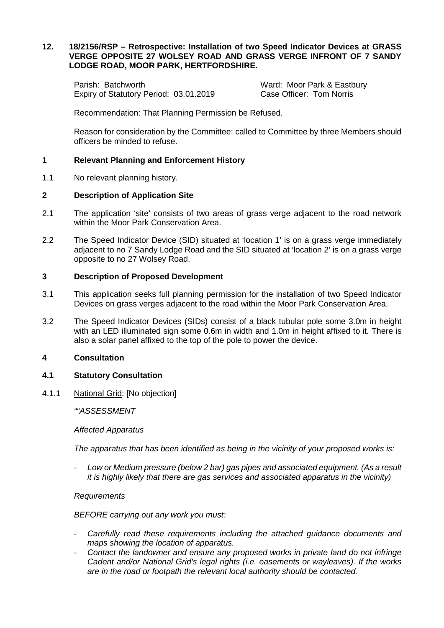# **12. 18/2156/RSP – Retrospective: Installation of two Speed Indicator Devices at GRASS VERGE OPPOSITE 27 WOLSEY ROAD AND GRASS VERGE INFRONT OF 7 SANDY LODGE ROAD, MOOR PARK, HERTFORDSHIRE.**

Parish: Batchworth **Ward: Moor Park & Eastbury** Expiry of Statutory Period: 03.01.2019 Case Officer: Tom Norris

Recommendation: That Planning Permission be Refused.

Reason for consideration by the Committee: called to Committee by three Members should officers be minded to refuse.

# **1 Relevant Planning and Enforcement History**

1.1 No relevant planning history.

## **2 Description of Application Site**

- 2.1 The application 'site' consists of two areas of grass verge adjacent to the road network within the Moor Park Conservation Area.
- 2.2 The Speed Indicator Device (SID) situated at 'location 1' is on a grass verge immediately adjacent to no 7 Sandy Lodge Road and the SID situated at 'location 2' is on a grass verge opposite to no 27 Wolsey Road.

### **3 Description of Proposed Development**

- 3.1 This application seeks full planning permission for the installation of two Speed Indicator Devices on grass verges adjacent to the road within the Moor Park Conservation Area.
- 3.2 The Speed Indicator Devices (SIDs) consist of a black tubular pole some 3.0m in height with an LED illuminated sign some 0.6m in width and 1.0m in height affixed to it. There is also a solar panel affixed to the top of the pole to power the device.

### **4 Consultation**

### **4.1 Statutory Consultation**

4.1.1 National Grid: [No objection]

*""ASSESSMENT*

### *Affected Apparatus*

*The apparatus that has been identified as being in the vicinity of your proposed works is:*

- *Low or Medium pressure (below 2 bar) gas pipes and associated equipment. (As a result it is highly likely that there are gas services and associated apparatus in the vicinity)*

### *Requirements*

*BEFORE carrying out any work you must:*

- *Carefully read these requirements including the attached guidance documents and maps showing the location of apparatus.*
- *Contact the landowner and ensure any proposed works in private land do not infringe Cadent and/or National Grid's legal rights (i.e. easements or wayleaves). If the works are in the road or footpath the relevant local authority should be contacted.*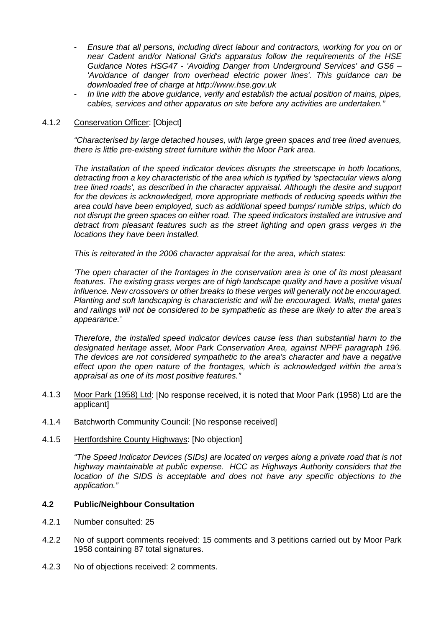- *Ensure that all persons, including direct labour and contractors, working for you on or near Cadent and/or National Grid's apparatus follow the requirements of the HSE Guidance Notes HSG47 - 'Avoiding Danger from Underground Services' and GS6 – 'Avoidance of danger from overhead electric power lines'. This guidance can be downloaded free of charge at http://www.hse.gov.uk*
- *In line with the above guidance, verify and establish the actual position of mains, pipes, cables, services and other apparatus on site before any activities are undertaken."*

## 4.1.2 Conservation Officer: [Object]

*"Characterised by large detached houses, with large green spaces and tree lined avenues, there is little pre-existing street furniture within the Moor Park area.*

*The installation of the speed indicator devices disrupts the streetscape in both locations, detracting from a key characteristic of the area which is typified by 'spectacular views along tree lined roads', as described in the character appraisal. Although the desire and support for the devices is acknowledged, more appropriate methods of reducing speeds within the area could have been employed, such as additional speed bumps/ rumble strips, which do not disrupt the green spaces on either road. The speed indicators installed are intrusive and detract from pleasant features such as the street lighting and open grass verges in the locations they have been installed.*

*This is reiterated in the 2006 character appraisal for the area, which states:*

*'The open character of the frontages in the conservation area is one of its most pleasant features. The existing grass verges are of high landscape quality and have a positive visual influence. New crossovers or other breaks to these verges will generally not be encouraged. Planting and soft landscaping is characteristic and will be encouraged. Walls, metal gates and railings will not be considered to be sympathetic as these are likely to alter the area's appearance.'*

*Therefore, the installed speed indicator devices cause less than substantial harm to the designated heritage asset, Moor Park Conservation Area, against NPPF paragraph 196. The devices are not considered sympathetic to the area's character and have a negative effect upon the open nature of the frontages, which is acknowledged within the area's appraisal as one of its most positive features."*

- 4.1.3 Moor Park (1958) Ltd: [No response received, it is noted that Moor Park (1958) Ltd are the applicant]
- 4.1.4 Batchworth Community Council: [No response received]
- 4.1.5 Hertfordshire County Highways: [No objection]

*"The Speed Indicator Devices (SIDs) are located on verges along a private road that is not highway maintainable at public expense. HCC as Highways Authority considers that the location of the SIDS is acceptable and does not have any specific objections to the application."*

# **4.2 Public/Neighbour Consultation**

- 4.2.1 Number consulted: 25
- 4.2.2 No of support comments received: 15 comments and 3 petitions carried out by Moor Park 1958 containing 87 total signatures.
- 4.2.3 No of objections received: 2 comments.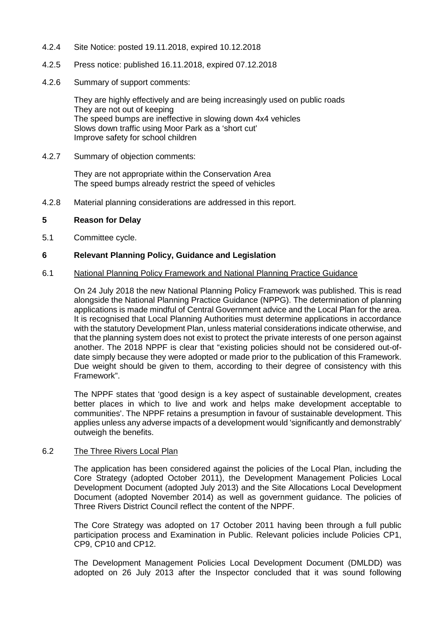- 4.2.4 Site Notice: posted 19.11.2018, expired 10.12.2018
- 4.2.5 Press notice: published 16.11.2018, expired 07.12.2018
- 4.2.6 Summary of support comments:

They are highly effectively and are being increasingly used on public roads They are not out of keeping The speed bumps are ineffective in slowing down 4x4 vehicles Slows down traffic using Moor Park as a 'short cut' Improve safety for school children

4.2.7 Summary of objection comments:

They are not appropriate within the Conservation Area The speed bumps already restrict the speed of vehicles

4.2.8 Material planning considerations are addressed in this report.

## **5 Reason for Delay**

5.1 Committee cycle.

## **6 Relevant Planning Policy, Guidance and Legislation**

### 6.1 National Planning Policy Framework and National Planning Practice Guidance

On 24 July 2018 the new National Planning Policy Framework was published. This is read alongside the National Planning Practice Guidance (NPPG). The determination of planning applications is made mindful of Central Government advice and the Local Plan for the area. It is recognised that Local Planning Authorities must determine applications in accordance with the statutory Development Plan, unless material considerations indicate otherwise, and that the planning system does not exist to protect the private interests of one person against another. The 2018 NPPF is clear that "existing policies should not be considered out-ofdate simply because they were adopted or made prior to the publication of this Framework. Due weight should be given to them, according to their degree of consistency with this Framework".

The NPPF states that 'good design is a key aspect of sustainable development, creates better places in which to live and work and helps make development acceptable to communities'. The NPPF retains a presumption in favour of sustainable development. This applies unless any adverse impacts of a development would 'significantly and demonstrably' outweigh the benefits.

### 6.2 The Three Rivers Local Plan

The application has been considered against the policies of the Local Plan, including the Core Strategy (adopted October 2011), the Development Management Policies Local Development Document (adopted July 2013) and the Site Allocations Local Development Document (adopted November 2014) as well as government guidance. The policies of Three Rivers District Council reflect the content of the NPPF.

The Core Strategy was adopted on 17 October 2011 having been through a full public participation process and Examination in Public. Relevant policies include Policies CP1, CP9, CP10 and CP12.

The Development Management Policies Local Development Document (DMLDD) was adopted on 26 July 2013 after the Inspector concluded that it was sound following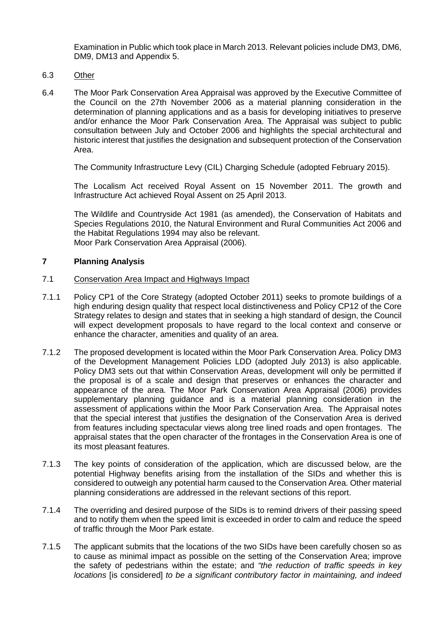Examination in Public which took place in March 2013. Relevant policies include DM3, DM6, DM9, DM13 and Appendix 5.

# 6.3 Other

6.4 The Moor Park Conservation Area Appraisal was approved by the Executive Committee of the Council on the 27th November 2006 as a material planning consideration in the determination of planning applications and as a basis for developing initiatives to preserve and/or enhance the Moor Park Conservation Area. The Appraisal was subject to public consultation between July and October 2006 and highlights the special architectural and historic interest that justifies the designation and subsequent protection of the Conservation Area.

The Community Infrastructure Levy (CIL) Charging Schedule (adopted February 2015).

The Localism Act received Royal Assent on 15 November 2011. The growth and Infrastructure Act achieved Royal Assent on 25 April 2013.

The Wildlife and Countryside Act 1981 (as amended), the Conservation of Habitats and Species Regulations 2010, the Natural Environment and Rural Communities Act 2006 and the Habitat Regulations 1994 may also be relevant. Moor Park Conservation Area Appraisal (2006).

# **7 Planning Analysis**

# 7.1 Conservation Area Impact and Highways Impact

- 7.1.1 Policy CP1 of the Core Strategy (adopted October 2011) seeks to promote buildings of a high enduring design quality that respect local distinctiveness and Policy CP12 of the Core Strategy relates to design and states that in seeking a high standard of design, the Council will expect development proposals to have regard to the local context and conserve or enhance the character, amenities and quality of an area.
- 7.1.2 The proposed development is located within the Moor Park Conservation Area. Policy DM3 of the Development Management Policies LDD (adopted July 2013) is also applicable. Policy DM3 sets out that within Conservation Areas, development will only be permitted if the proposal is of a scale and design that preserves or enhances the character and appearance of the area. The Moor Park Conservation Area Appraisal (2006) provides supplementary planning guidance and is a material planning consideration in the assessment of applications within the Moor Park Conservation Area. The Appraisal notes that the special interest that justifies the designation of the Conservation Area is derived from features including spectacular views along tree lined roads and open frontages. The appraisal states that the open character of the frontages in the Conservation Area is one of its most pleasant features.
- 7.1.3 The key points of consideration of the application, which are discussed below, are the potential Highway benefits arising from the installation of the SIDs and whether this is considered to outweigh any potential harm caused to the Conservation Area. Other material planning considerations are addressed in the relevant sections of this report.
- 7.1.4 The overriding and desired purpose of the SIDs is to remind drivers of their passing speed and to notify them when the speed limit is exceeded in order to calm and reduce the speed of traffic through the Moor Park estate.
- 7.1.5 The applicant submits that the locations of the two SIDs have been carefully chosen so as to cause as minimal impact as possible on the setting of the Conservation Area; improve the safety of pedestrians within the estate; and *"the reduction of traffic speeds in key locations* [is considered] *to be a significant contributory factor in maintaining, and indeed*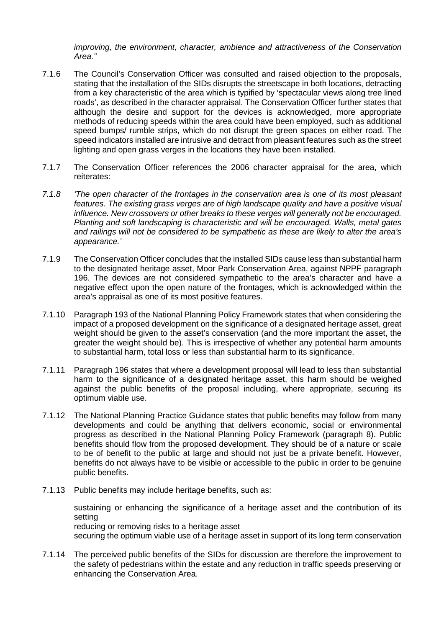*improving, the environment, character, ambience and attractiveness of the Conservation Area."*

- 7.1.6 The Council's Conservation Officer was consulted and raised objection to the proposals, stating that the installation of the SIDs disrupts the streetscape in both locations, detracting from a key characteristic of the area which is typified by 'spectacular views along tree lined roads', as described in the character appraisal. The Conservation Officer further states that although the desire and support for the devices is acknowledged, more appropriate methods of reducing speeds within the area could have been employed, such as additional speed bumps/ rumble strips, which do not disrupt the green spaces on either road. The speed indicators installed are intrusive and detract from pleasant features such as the street lighting and open grass verges in the locations they have been installed.
- 7.1.7 The Conservation Officer references the 2006 character appraisal for the area, which reiterates:
- *7.1.8 'The open character of the frontages in the conservation area is one of its most pleasant features. The existing grass verges are of high landscape quality and have a positive visual influence. New crossovers or other breaks to these verges will generally not be encouraged. Planting and soft landscaping is characteristic and will be encouraged. Walls, metal gates and railings will not be considered to be sympathetic as these are likely to alter the area's appearance.'*
- 7.1.9 The Conservation Officer concludes that the installed SIDs cause less than substantial harm to the designated heritage asset, Moor Park Conservation Area, against NPPF paragraph 196. The devices are not considered sympathetic to the area's character and have a negative effect upon the open nature of the frontages, which is acknowledged within the area's appraisal as one of its most positive features.
- 7.1.10 Paragraph 193 of the National Planning Policy Framework states that when considering the impact of a proposed development on the significance of a designated heritage asset, great weight should be given to the asset's conservation (and the more important the asset, the greater the weight should be). This is irrespective of whether any potential harm amounts to substantial harm, total loss or less than substantial harm to its significance.
- 7.1.11 Paragraph 196 states that where a development proposal will lead to less than substantial harm to the significance of a designated heritage asset, this harm should be weighed against the public benefits of the proposal including, where appropriate, securing its optimum viable use.
- 7.1.12 The National Planning Practice Guidance states that public benefits may follow from many developments and could be anything that delivers economic, social or environmental progress as described in the National Planning Policy Framework (paragraph 8). Public benefits should flow from the proposed development. They should be of a nature or scale to be of benefit to the public at large and should not just be a private benefit. However, benefits do not always have to be visible or accessible to the public in order to be genuine public benefits.
- 7.1.13 Public benefits may include heritage benefits, such as:

sustaining or enhancing the significance of a heritage asset and the contribution of its setting reducing or removing risks to a heritage asset securing the optimum viable use of a heritage asset in support of its long term conservation

7.1.14 The perceived public benefits of the SIDs for discussion are therefore the improvement to the safety of pedestrians within the estate and any reduction in traffic speeds preserving or enhancing the Conservation Area.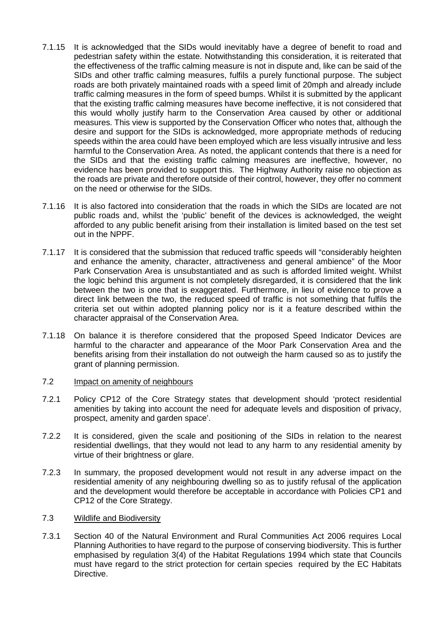- 7.1.15 It is acknowledged that the SIDs would inevitably have a degree of benefit to road and pedestrian safety within the estate. Notwithstanding this consideration, it is reiterated that the effectiveness of the traffic calming measure is not in dispute and, like can be said of the SIDs and other traffic calming measures, fulfils a purely functional purpose. The subject roads are both privately maintained roads with a speed limit of 20mph and already include traffic calming measures in the form of speed bumps. Whilst it is submitted by the applicant that the existing traffic calming measures have become ineffective, it is not considered that this would wholly justify harm to the Conservation Area caused by other or additional measures. This view is supported by the Conservation Officer who notes that, although the desire and support for the SIDs is acknowledged, more appropriate methods of reducing speeds within the area could have been employed which are less visually intrusive and less harmful to the Conservation Area. As noted, the applicant contends that there is a need for the SIDs and that the existing traffic calming measures are ineffective, however, no evidence has been provided to support this. The Highway Authority raise no objection as the roads are private and therefore outside of their control, however, they offer no comment on the need or otherwise for the SIDs.
- 7.1.16 It is also factored into consideration that the roads in which the SIDs are located are not public roads and, whilst the 'public' benefit of the devices is acknowledged, the weight afforded to any public benefit arising from their installation is limited based on the test set out in the NPPF.
- 7.1.17 It is considered that the submission that reduced traffic speeds will "considerably heighten and enhance the amenity, character, attractiveness and general ambience" of the Moor Park Conservation Area is unsubstantiated and as such is afforded limited weight. Whilst the logic behind this argument is not completely disregarded, it is considered that the link between the two is one that is exaggerated. Furthermore, in lieu of evidence to prove a direct link between the two, the reduced speed of traffic is not something that fulfils the criteria set out within adopted planning policy nor is it a feature described within the character appraisal of the Conservation Area.
- 7.1.18 On balance it is therefore considered that the proposed Speed Indicator Devices are harmful to the character and appearance of the Moor Park Conservation Area and the benefits arising from their installation do not outweigh the harm caused so as to justify the grant of planning permission.

### 7.2 Impact on amenity of neighbours

- 7.2.1 Policy CP12 of the Core Strategy states that development should 'protect residential amenities by taking into account the need for adequate levels and disposition of privacy, prospect, amenity and garden space'.
- 7.2.2 It is considered, given the scale and positioning of the SIDs in relation to the nearest residential dwellings, that they would not lead to any harm to any residential amenity by virtue of their brightness or glare.
- 7.2.3 In summary, the proposed development would not result in any adverse impact on the residential amenity of any neighbouring dwelling so as to justify refusal of the application and the development would therefore be acceptable in accordance with Policies CP1 and CP12 of the Core Strategy.

# 7.3 Wildlife and Biodiversity

7.3.1 Section 40 of the Natural Environment and Rural Communities Act 2006 requires Local Planning Authorities to have regard to the purpose of conserving biodiversity. This is further emphasised by regulation 3(4) of the Habitat Regulations 1994 which state that Councils must have regard to the strict protection for certain species required by the EC Habitats Directive.